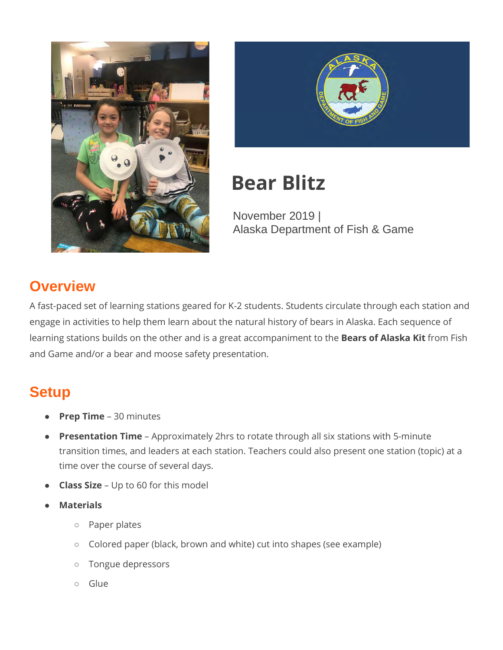



# **Bear Blitz**

November 2019 | Alaska Department of Fish & Game

# **Overview**

A fast-paced set of learning stations geared for K-2 students. Students circulate through each station and engage in activities to help them learn about the natural history of bears in Alaska. Each sequence of learning stations builds on the other and is a great accompaniment to the **Bears of Alaska Kit** from Fish and Game and/or a bear and moose safety presentation.

# **Setup**

- **Prep Time** 30 minutes
- **Presentation Time**  Approximately 2hrs to rotate through all six stations with 5-minute transition times, and leaders at each station. Teachers could also present one station (topic) at a time over the course of several days.
- **Class Size** Up to 60 for this model
- **Materials**
	- Paper plates
	- Colored paper (black, brown and white) cut into shapes (see example)
	- Tongue depressors
	- Glue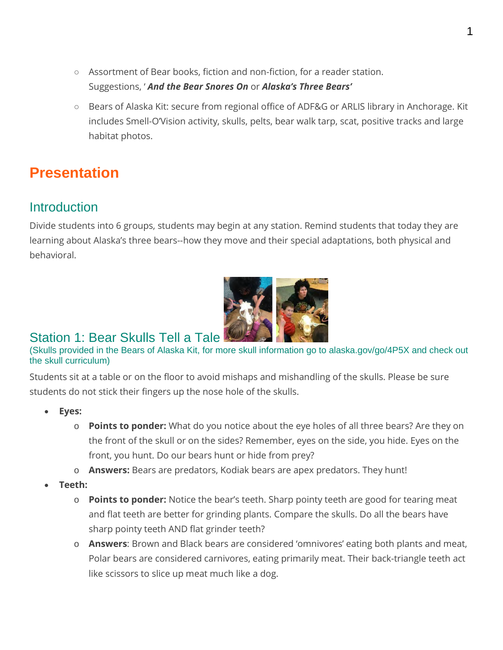- Assortment of Bear books, fiction and non-fiction, for a reader station. Suggestions, ' *And the Bear Snores On* or *Alaska's Three Bears'*
- Bears of Alaska Kit: secure from regional office of ADF&G or ARLIS library in Anchorage. Kit includes Smell-O'Vision activity, skulls, pelts, bear walk tarp, scat, positive tracks and large habitat photos.

# **Presentation**

### **Introduction**

Divide students into 6 groups, students may begin at any station. Remind students that today they are learning about Alaska's three bears--how they move and their special adaptations, both physical and behavioral.



### Station 1: Bear Skulls Tell a Tale

(Skulls provided in the Bears of Alaska Kit, for more skull information go to alaska.gov/go/4P5X and check out the skull curriculum)

Students sit at a table or on the floor to avoid mishaps and mishandling of the skulls. Please be sure students do not stick their fingers up the nose hole of the skulls.

- **Eyes:** 
	- o **Points to ponder:** What do you notice about the eye holes of all three bears? Are they on the front of the skull or on the sides? Remember, eyes on the side, you hide. Eyes on the front, you hunt. Do our bears hunt or hide from prey?
	- o **Answers:** Bears are predators, Kodiak bears are apex predators. They hunt!
- **Teeth:** 
	- o **Points to ponder:** Notice the bear's teeth. Sharp pointy teeth are good for tearing meat and flat teeth are better for grinding plants. Compare the skulls. Do all the bears have sharp pointy teeth AND flat grinder teeth?
	- o **Answers**: Brown and Black bears are considered 'omnivores' eating both plants and meat, Polar bears are considered carnivores, eating primarily meat. Their back-triangle teeth act like scissors to slice up meat much like a dog.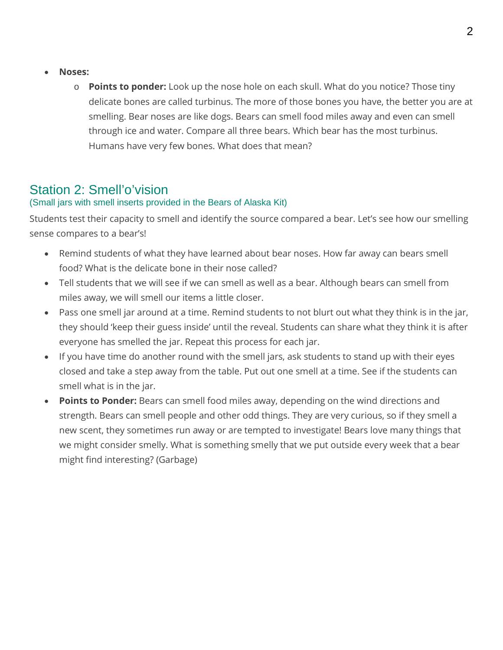- **Noses:** 
	- o **Points to ponder:** Look up the nose hole on each skull. What do you notice? Those tiny delicate bones are called turbinus. The more of those bones you have, the better you are at smelling. Bear noses are like dogs. Bears can smell food miles away and even can smell through ice and water. Compare all three bears. Which bear has the most turbinus. Humans have very few bones. What does that mean?

### Station 2: Smell'o'vision

### (Small jars with smell inserts provided in the Bears of Alaska Kit)

Students test their capacity to smell and identify the source compared a bear. Let's see how our smelling sense compares to a bear's!

- Remind students of what they have learned about bear noses. How far away can bears smell food? What is the delicate bone in their nose called?
- Tell students that we will see if we can smell as well as a bear. Although bears can smell from miles away, we will smell our items a little closer.
- Pass one smell jar around at a time. Remind students to not blurt out what they think is in the jar, they should 'keep their guess inside' until the reveal. Students can share what they think it is after everyone has smelled the jar. Repeat this process for each jar.
- If you have time do another round with the smell jars, ask students to stand up with their eyes closed and take a step away from the table. Put out one smell at a time. See if the students can smell what is in the jar.
- **Points to Ponder:** Bears can smell food miles away, depending on the wind directions and strength. Bears can smell people and other odd things. They are very curious, so if they smell a new scent, they sometimes run away or are tempted to investigate! Bears love many things that we might consider smelly. What is something smelly that we put outside every week that a bear might find interesting? (Garbage)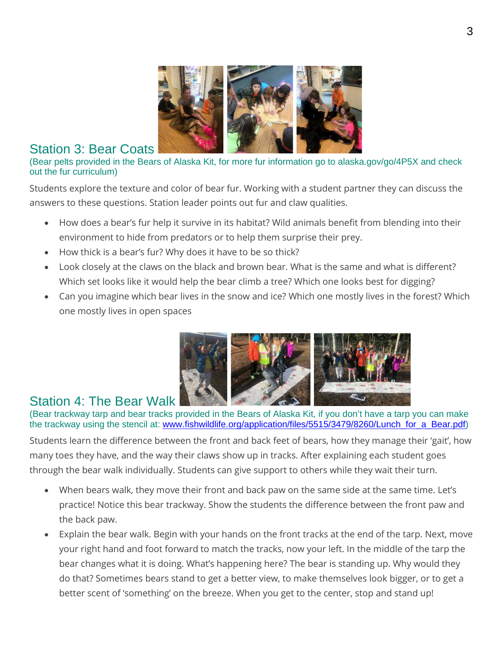

Station 3: Bear Coats (Bear in the Bears of Alaska Kit, for more fur information go to alaska.gov/go/4P5X and check out the fur curriculum)

Students explore the texture and color of bear fur. Working with a student partner they can discuss the answers to these questions. Station leader points out fur and claw qualities.

- How does a bear's fur help it survive in its habitat? Wild animals benefit from blending into their environment to hide from predators or to help them surprise their prey.
- How thick is a bear's fur? Why does it have to be so thick?
- Look closely at the claws on the black and brown bear. What is the same and what is different? Which set looks like it would help the bear climb a tree? Which one looks best for digging?
- Can you imagine which bear lives in the snow and ice? Which one mostly lives in the forest? Which one mostly lives in open spaces



### Station 4: The Bear Walk

(Bear trackway tarp and bear tracks provided in the Bears of Alaska Kit, if you don't have a tarp you can make the trackway using the stencil at: [www.fishwildlife.org/application/files/5515/3479/8260/Lunch\\_for\\_a\\_Bear.pdf\)](https://www.fishwildlife.org/application/files/5515/3479/8260/Lunch_for_a_Bear.pdf)

Students learn the difference between the front and back feet of bears, how they manage their 'gait', how many toes they have, and the way their claws show up in tracks. After explaining each student goes through the bear walk individually. Students can give support to others while they wait their turn.

- When bears walk, they move their front and back paw on the same side at the same time. Let's practice! Notice this bear trackway. Show the students the difference between the front paw and the back paw.
- Explain the bear walk. Begin with your hands on the front tracks at the end of the tarp. Next, move your right hand and foot forward to match the tracks, now your left. In the middle of the tarp the bear changes what it is doing. What's happening here? The bear is standing up. Why would they do that? Sometimes bears stand to get a better view, to make themselves look bigger, or to get a better scent of 'something' on the breeze. When you get to the center, stop and stand up!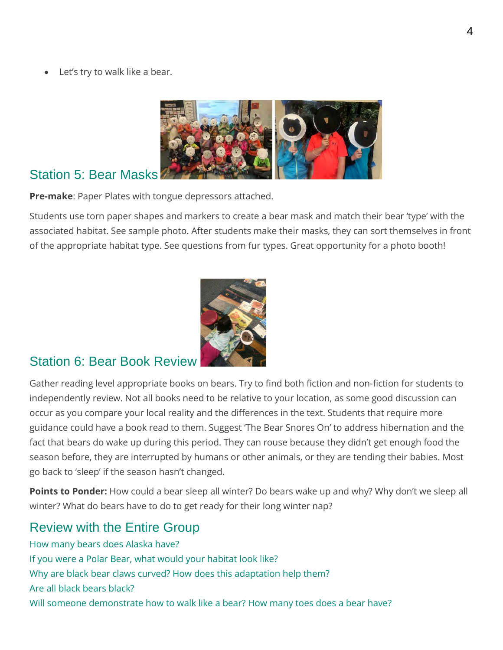Let's try to walk like a bear.



## Station 5: Bear Masks

**Pre-make**: Paper Plates with tongue depressors attached.

Students use torn paper shapes and markers to create a bear mask and match their bear 'type' with the associated habitat. See sample photo. After students make their masks, they can sort themselves in front of the appropriate habitat type. See questions from fur types. Great opportunity for a photo booth!



### Station 6: Bear Book Review

Gather reading level appropriate books on bears. Try to find both fiction and non-fiction for students to independently review. Not all books need to be relative to your location, as some good discussion can occur as you compare your local reality and the differences in the text. Students that require more guidance could have a book read to them. Suggest 'The Bear Snores On' to address hibernation and the fact that bears do wake up during this period. They can rouse because they didn't get enough food the season before, they are interrupted by humans or other animals, or they are tending their babies. Most go back to 'sleep' if the season hasn't changed.

**Points to Ponder:** How could a bear sleep all winter? Do bears wake up and why? Why don't we sleep all winter? What do bears have to do to get ready for their long winter nap?

## Review with the Entire Group

How many bears does Alaska have? If you were a Polar Bear, what would your habitat look like? Why are black bear claws curved? How does this adaptation help them? Are all black bears black? Will someone demonstrate how to walk like a bear? How many toes does a bear have?